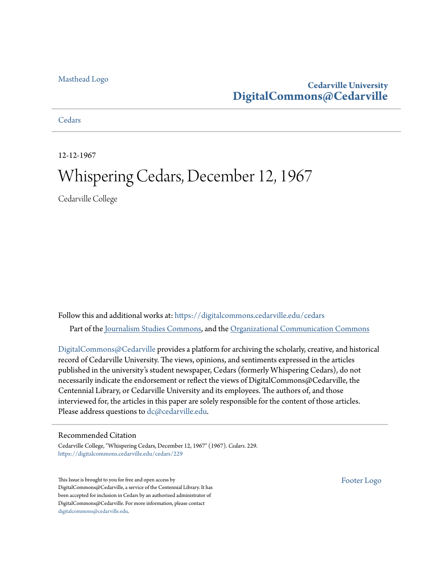### [Masthead Logo](http://www.cedarville.edu/?utm_source=digitalcommons.cedarville.edu%2Fcedars%2F229&utm_medium=PDF&utm_campaign=PDFCoverPages)

### **Cedarville University [DigitalCommons@Cedarville](https://digitalcommons.cedarville.edu?utm_source=digitalcommons.cedarville.edu%2Fcedars%2F229&utm_medium=PDF&utm_campaign=PDFCoverPages)**

**[Cedars](https://digitalcommons.cedarville.edu/cedars?utm_source=digitalcommons.cedarville.edu%2Fcedars%2F229&utm_medium=PDF&utm_campaign=PDFCoverPages)** 

12-12-1967

# Whispering Cedars, December 12, 1967

Cedarville College

Follow this and additional works at: [https://digitalcommons.cedarville.edu/cedars](https://digitalcommons.cedarville.edu/cedars?utm_source=digitalcommons.cedarville.edu%2Fcedars%2F229&utm_medium=PDF&utm_campaign=PDFCoverPages) Part of the [Journalism Studies Commons](http://network.bepress.com/hgg/discipline/333?utm_source=digitalcommons.cedarville.edu%2Fcedars%2F229&utm_medium=PDF&utm_campaign=PDFCoverPages), and the [Organizational Communication Commons](http://network.bepress.com/hgg/discipline/335?utm_source=digitalcommons.cedarville.edu%2Fcedars%2F229&utm_medium=PDF&utm_campaign=PDFCoverPages)

[DigitalCommons@Cedarville](http://digitalcommons.cedarville.edu/) provides a platform for archiving the scholarly, creative, and historical record of Cedarville University. The views, opinions, and sentiments expressed in the articles published in the university's student newspaper, Cedars (formerly Whispering Cedars), do not necessarily indicate the endorsement or reflect the views of DigitalCommons@Cedarville, the Centennial Library, or Cedarville University and its employees. The authors of, and those interviewed for, the articles in this paper are solely responsible for the content of those articles. Please address questions to [dc@cedarville.edu.](mailto:dc@cedarville.edu)

### Recommended Citation

Cedarville College, "Whispering Cedars, December 12, 1967" (1967). *Cedars*. 229. [https://digitalcommons.cedarville.edu/cedars/229](https://digitalcommons.cedarville.edu/cedars/229?utm_source=digitalcommons.cedarville.edu%2Fcedars%2F229&utm_medium=PDF&utm_campaign=PDFCoverPages)

This Issue is brought to you for free and open access by DigitalCommons@Cedarville, a service of the Centennial Library. It has been accepted for inclusion in Cedars by an authorized administrator of DigitalCommons@Cedarville. For more information, please contact [digitalcommons@cedarville.edu](mailto:digitalcommons@cedarville.edu).

[Footer Logo](http://www.cedarville.edu/Academics/Library.aspx?utm_source=digitalcommons.cedarville.edu%2Fcedars%2F229&utm_medium=PDF&utm_campaign=PDFCoverPages)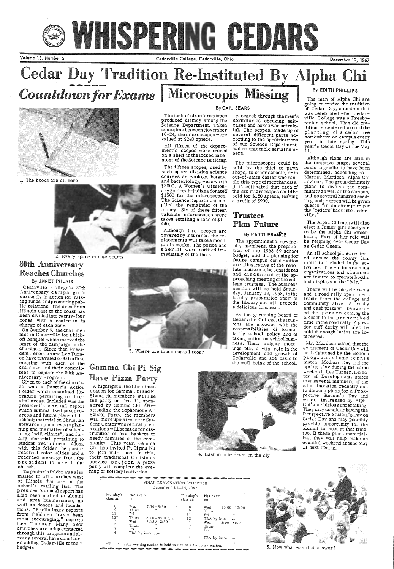# S WHISPERING CEDARS

Volume 18, Number 5 Cedarville College, Cedarville, Ohio December 12, 1967



1. The books are all here

### By GAIL SEARS

The theft of six microscopes produced dismay among the Science Department. Taken sometime between November 10-24, the microscopes were valued at \$240 apiece.

All fifteen of the depart ment's scopes were stored on a shelf in the locked basement of the Science Building.

A search through the men's dormitories checking suitcases and boxes was unfruitful. The scopes, made up of several different parts according to the specifications of our Science Department, had no traceable serial numbers.

The microscopes could be sold by the thief to pawn shops, to other schools, or to out-of-state dealer who handle this type of merchandise. It is estimated that each of the six microscopes could be sold for \$150 apiece, leaving a profit of \$900.

The fifteen scopes, used by such upper division science courses as zoology, botany, and bacteriology, were worth \$3000. A Women's Missionary Society in Indiana donated \$1500 for the microscopes. The Science Department sup plied the remainder of the money. Six of these fifteen valuable microscopes were taken entailing a loss of \$1,- 440.

# **Cedar Day Tradition Re-Instituted By Alpha Chi**  Cou*ntdown for Exams* | Microscopis Missing By EDITH PHILLIPS

# Trustees Plan Future

By PATTI FRANCE

The appointment of new faculty members, the prepara-<br>tion of the 1968-69 school<br>budget, and the planning for future campus construction are illustrative of the resolute matters to be considered and discussed at the approaching meeting of the college trustees. The business session will be held Saturday, January 13, 1968, inthe faculty preparation room of the library and will precede a delicious luncheon.

An all school picnic centered around the county fair motif is included in the activities. The various campus organizations and c 1 a s s e s are invited to operate booths and displays at the "fair."

The men of Alpha Chi are going to revive the tradition of Cedar Day, a custom that was celebrated when Cedarville College was a Presby-<br>terian school. This old tradition is centered around the planting of a cedar tree somewhere on campus every year in late spring. This year's Cedar Day will be May 11.

Although plans are still in the tentative stage, several basic ingredients have been determined, according to J. Murray Murdoch, Alpha Chi advisor. The group definitely plans to involve the community as well as the campus, and so several hundred seedling cedar trees will be given quests "in an attempt to put<br>the 'cedars' back into Cedarville."

The Alpha Chi men will also elect a Junior girl each year to be the Alpha Chi Sweetheart. Part of her role will be reigning over Cedar Day as Cedar Queen.



2. Every spare minute counts

Although the scopes are covered by insurance, the replacements will take a month to six weeks. The police and sheriff were notified immediately of the theft.

> As the governing board of Cedarville College, the trustees are endowed with the responsibilities of formulating school policy and of taking action on school business. Their weighty meetings play a vital role in the development and growth of Cedarville and are basic to the well-being of the school.



# Gamma Chi Pi Sig Have Pizza Party

A highlight of the Christmas sea son for Gamma Chi and Pi Sigma Nu members w i 11 be the party on Dec. 11, spon sored by Gamma Chi. After attending the Sophomore All School Party, the members will move upstairs in the Student Center where final prep arations will be made for distribution of food baskets to needy families of the community. This year, Gamma Chi has invited Pi Sigma Nu to join with them in this, their traditional Christmas service project. A pizza party will complete the evening of holiday festivities.

### 30th Anniversary Reaches Churches By JANET PHENIX

Cedarville College's 80th Anniversary campaign is currently in action for raising funds andpromotingpub-1 ic relations. The area from Illinois east to the coast has been divided into twenty-four zones with a chairman in charge of each zone.

On October 9, the chairmen met in Cedarville for a kickoff banquet which marked the start of the campaign in the churches. Since then President Jeremiah and Lee Turner have traveled 6,000 miles. meeting with each of the chairmen and their committees to explain the 80th Anniversary Program.

Given to each of the churches was a Pastor's Action Folder which contained literature pertaining to three vital areas. Included was the president's a n nu a l report which summarized past progress and future plans of the school; material on Christian stewardship and estateplan ning and the matter of scheduling "will clinics"; and finally material pertaining to student recruitment. Along with this folder the pastor received color slides and a recorded message from the president to use in the church. The pastor's folder was also mailed to all churches west of Illinois that are on the school's mailing list. The president's annual report has also been mailed to alumni and area businessmen, as well as donors and foundations. "Preliminary reports from fieldmen have been most encouraging," reports Lee Turner. Many new churches are being contacted through this program and already several have considered adding Cedarville to their budgets.

3. Where are those notes I took?

4. Last minute cram on the sly

### **@@@@@@@@@**

FINAL EXAMINATION SCHEDULE December 13-14-15, 1967

| Monday's<br>class at:                                  | Has exam<br>on:                                     |                                                                                                   | Tuesday's<br>class at:                    | Has exam<br>on:                            |                                                                                     |
|--------------------------------------------------------|-----------------------------------------------------|---------------------------------------------------------------------------------------------------|-------------------------------------------|--------------------------------------------|-------------------------------------------------------------------------------------|
| 8<br>9<br>11<br>$12*$<br>Ì<br>$\overline{2}$<br>3<br>4 | Wed<br>Thurs<br>Fri<br>Thurs<br>Wed<br>Thurs<br>Fri | $7:30 - 9:30$<br>66<br>6.6<br>$6:00-8:00$ p.m.<br>$12:30 - 2:30$<br>65<br>66<br>TBA by instructor | 8<br>9<br>11<br>12<br>$\overline{2}$<br>3 | Wed<br>Thurs<br>Fri<br>Wed<br>Thurs<br>Fri | $10:00 - 12:00$<br>$\left($<br>44<br>TBA by instructor<br>$3:00 - 5:00$<br>66<br>44 |
|                                                        |                                                     |                                                                                                   | 4                                         |                                            | TBA by instructor                                                                   |

There will be bicycle races and a road rally open to entrants from the college and community alike. A trophy and cash prize will be awarded the person coming the closest to the prescribed time in the road rally. A pow der puff derby will also be held if enough ladies are interested.

Mr. Murdoch added that the excitement of Cedar Day will be heightened by the Honors pr ogram, a home tennis match, Mothers Day and the spring play during the same weekend. Lee Turner, Director of Development, stated that several members of the administration recently met to discuss plans for a Prospective Student's Day and were impressed by Alpha Chi's ambitious undertaking. They may consider having the Prospective Student's Day on Cedar Day and may possibly provide opportunity for the alumni to meet at that time, too. If these plans materialize, they will help make an eventful weekend around May 11 next spring.



\*The Thursday evening session is held in lieu of a Saturday session.



**5.** Now what was that answer?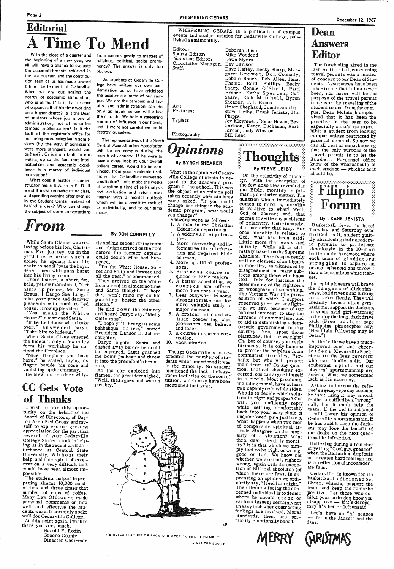Page 2

# Editorial Time To Mend

the beginning of a new year, we all will have a chance to evaluate the accomplishments achieved in the last quarter, and the contribution each of us has made toward t h e betterment of Cedarville. When we cry out against the dearth of academic stimulation,. who is at fault? Is it that teacher who spends all of his time working on a higher degree? Is it the Dean of students whose job is one of administration, not of nurturing campus intellectualism? Is it the fault of the registrar's office for not being more selective in admissions (by the way, if admissions were more stringent, would you be here?). Or is it our fault for not waking up to the fact that intellectualism and academic excellence is a matter of individual motivation?

While Santa Clause was relaxing before his long Christmas Eve journey, out in the<br>yard there arose such a<br>noise; he sprang from his chair to see if 'twas the boys.<br>Seven men with guns burst into his living room.<br>Their leader, a short, fat, bald, yellow man stated, "Get

hands up prease, Mr. Santa Craus. I Darga See Lung. I take your prace and deriver pleasents with bomb to Led<br>house. Brow up plesident."

"You me an the White House?" questioned Santa.

"It be Led House when I take<br>over," answered Darvo. over," answered Daryo.<br>"Take him to hideout."

When Santa Claus entered the hideout, only a few miles from his workshop he no-<br>ticed the fireplace.<br>"Nice fireplace you have here," he stated, laying his finger beside his nose and

What does it matter if our instructor has a B.A. or a Ph.D. if we still insist on overcutting class, and spending evening after evening in the Student Center instead of behind a desk? Who can change the subject of dorm conversations

# *From*

With the close of a quarter and from campus gossip to matters of religious, political, social prominency? The answer is only too obvious.

vanishing up the chimney. He blew his reindeer whis-

"To the White House, Sonnet and Stuip and Pawner and all the rest," he commanded. They arrived on the White House roof in almost no time and Santa thought, "I hope<br>they won't mind my double<br>parking beside the other

sleigh."<br>He slid down the chimney and heard Daryo say, "Melly Chlistmas".

"I hope ya'll brung us some bahbahque sauce," stated<br>President Landon B. Johns-

# CC Gets Vote of Thanks

I wish to take this oppor-<br>tunity on the behalf of the<br>Board of Directors, of Dayto Day- ton Area Red Cross and my-<br>self to express our greatest<br>appreciation for the part that<br>several of your Cedarville<br>-College Students took in help-<br>ing us in the recent civil disturbance at Central State University. Without their help and fine spirit of coop- eration a very difficult task would have been almost impossible.<br>The students helped in preparing almost 10,000 sandwiches and three times that number of cups of coffee. Many Law Officers made personal comments on how well and effective the students were. It certainly spoke<br>well for Cedarville College.<br>At this point again, I wish to<br>thank you very much.

daughter.<br>Daryo sighted Santa and dashed away before he could<br>be captured. Santa grabbed<br>the bomb package and threw<br>it into the president's limousine.

Editor: Sports Editor: Assistant Editor: Circulation Manager: Deborah Bush Mike Woodend Dawn Myers Bev Carlson Dave Haffey, Becky Sharp, Mar-<br>garet Brewer, Don Connelly, Debbie Rouch, Bob Allen, Janet<br>
Phenix, Edith Phillips, Becky<br>
Sharp, Connie O'S he 11, Patti<br>
France, Kathy Spencer, Gail<br>
Sears, Rich Mitchell, Byron<br>
Shearer, T. I. Evans.<br>
Art: Bruce Shephard, Connie Aueritt Features: Features: Steve Leiby, Frank Jenista, Jim<br>
Phipps.<br>
Typists: Joy Kleymeer, Donna Hogan, Bev<br>
Carlson, Karen Buchanan, Barb<br>
Jordan, Judy Winston<br>
Photography: Bill Reed

What is the opinion of Cedar ville College students in re gard to the academic program of the school. This was<br>the object of an opinion poll the object of an opinion poll taken recently when students were asked, "If you could<br>change one thing in the aca-<br>demic program, what would demic program, what would<br>you change?"

We students at Cedarville College have written our own condemnation as we have criticized the academic climate of our campus. We are the campus: and faculty and administration can do only as much as we will allow them to do. We hold a staggering amount of influence in our hands, and if we're not careful we could destroy ourselves.

The representatives of the North Central Accreditation Association will be on campus during the month of January. If he were to have a close look at your overall college career, would he be convinced, from your academic testimony, that Cedarville deserves accreditation? Let's make the weeks of vacation a time of self-analysis and evaluation and return next quarter with a mental outlook which will be a credit to each of us individually, and to our alma mater.

### By DON CONNELLY

tle and his second string team<br>and sleigh arrived on the roof<br>before his former captors could decide what had hap-<br>pened.

of relativity. Unfortunately,<br>it is not quite that easy. For once morality is related to God, what has been said? Little more than was stated initially. While all is ulti-Absolute, there is apparently still an element of ambiguity in morality, as witnessed by disagreement on many sub-jects among those who know God. Take for instance the determining of the rightness<br>or wrongness of something. The Vietnam War (the pros-<br>ecution of which I support<br>reservedly) — we are fight-<br>ing, we say, because of our national interest, to stay the advance of communism, and to aid in establishing a dem- ocratic government in that country. Yes, spout those<br>platitudes. But are we right? Oh, but of course, you reply furiously. It is only humane to protect the helpless from communist atrocities. Perhaps; but who will protect<br>them from us? On any ques-<br>tion, Biblical absolutes excepted, one can argue himself in a circle. Most problems, including moral, have at least two capably defensible sides. Who is to decide which solution is right and proper? God will, you confidently reply while settling comfortably back into your easy chair of unquestioned prejudice s. What happens when two men

As the car exploded into flames, the president sighed, "Well, theah goes mah wah on povahty."

WHISPERING CEDARS

WHISPERING CEDARS is a publication of campus events and student opinion for Cedarville College, pub-<br>lished semimonthly.

Example 11 rest at ease, knowing<br>  $\prod_{\text{1}}$  and  $\prod_{\text{2}}$  that the only purpose of the<br>  $\prod_{\text{2}}$  is tudent Personnel office<br>  $\prod_{\text{2}}$  is tudent Personnel office<br>  $\prod_{\text{2}}$  is the whereabouts of The foreboding aired in the last edit or i al, concerning travel permits was a matter of concern to our Dean of Students. Assurances have been made to me that it has never been, nor never will be the purpose of the travel permit<br>to censor the traveling of the student to and from the cam-<br>pus. Dean McIntosh emphasized that it has been the practice in the past to be, hibit a student from leaving<br>camput unless restricted by parental demand. So now we that the only purpose of the Student Personnel office know of the whereabouts of each student  $-$  which is as it should be.

# la la Filipino<br>|-<br>| Forum

Intrepid pioneers will brave the dangers of slick highanti-Jacket fiends. They will<br>uneasily invade alien gym-<br>nasiums, support the Jackets,<br>do some avid girl-watching<br>and enjoy the long, dark drive<br>back (Free a dvice: sage<br>Philippine philosopher say:<br>"Headlight following may

# *Opinions*

### By BYRON SHEARER

Asking to borrow the refe-<br>ree's seeing-eye dog because he isn't using it may smooth<br>feathers ruffled by a "wrong" call, but it can't help the team. If the ref is unbiased it will lower his opinion of Cedarville sportsmanship. If he has rabbit ears the Jackets may lose the benefit of the doubt on the next ques- tionable infraction.



Let's have an "A" season from the Jackets and the fans.



**GIRISTMAS** 

- Answers were as follows: 1. A man in the Christian
- Education department 2. A widerv a ri etyof ma- jors.
- 3. More interesting and in-<br>formative liberal education and required Bible
- courses. 4. More qualified professors.
- 5. Business course re-<br>quired in Bible majors
- $6.$  A better  $x$ cheduling, so courses are offered<br>more than once a year.
- 7. Less busywork in some classes to make room for more valuable study in major courses.
- 8. A broader mind and at-<br>titude concerning what professors can believe and teach.
- 9. A course in speech cor-<br>rection.
- IO. Accreditation

Though Cedarville is not ac credited the number of students which mentioned it was in the minority. No student mentioned the lack of classroom facilities or the cost of: tuition, which may have been mentioned last year.

c.A

On the relativity of moral- ity. With the exception of the few absolutes revealed in

the Bible, morality is pri- marily a relative matter. The



By STEVE LEIBY

of comparable spiritual at- titude disagree on the mor ality of a situation? What then, dear friend, is morality? It is that which we sim<sup>p</sup>ly feel to be right or wrong, good or bad. We know not whether we are truly right or<br>wrong, again with the exception of Biblical absolutes (of which there are few). In expressing an opinion we ordi-<br>narily say, "I feel I am right." The dilemma facing the con-<br>cerned individual is to decide where he should st and on various issues; certainly not feelings are involved. Moral standards, then, are pri- marily emotionallybased.

Harold F. Rodin

Greene County WE BUILD STATUES OF SNOW AND WEEP TO SEE THEM MELT<br>Disaster Chairman

- WALTER SCOTT

# Dean Answers Editor

### By FRANK JENISTA

Basketball fever is here! find Cedars U. student guilt-<br>ily abandoning their academ-<br>ic pursuits to participate<br>vicariously in the 10-m an<br>battle on the hardwood where each team of gladiators struggles to capture an<br>orange spheroid and throw it thru a bottomless white fishnet.

At the 'ville we have a muchimproved band and cheer-1 ea de rs (Cedarville Rockettes to the less reverent) who can finally split. Our exuberant <sup>s</sup>pi r it and our <sup>p</sup>layers' sportsmanship are assets. What we sometimes lack is fan courtesy.

Hollering during a foul shot or yelling "Cool guy, grease!"' when the Italian hot-dog fouls out creates hard feelings and is a reflection of inconsiderate fans.

Cedarville is known for its basket ball aficionados. Cheer, whistle, support the team and keep the remarks positive. Let those who exhibit poor attitudes know you<br>disapprove - if it's derogatory it's better left unsaid.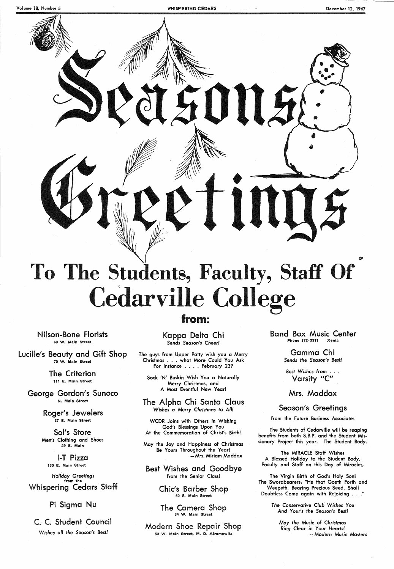ILS

# **e To The Students, Faculty, Staff Of Cedarville College**

from:

Nilson-Bone Florists 68 W. Main Street

Lucille's Beauty and Gift Shop 70 W. Main Street

> The Criterion 111 E. Main Street

George Gordon's Sunoco N. Main Street

The guys from Upper Patty wish you a Merry Christmas ... what More Could You Ask For Instance . . . . February 23?

Roger's Jewelers 37 E. Main Street

Sol's Store Men's Clothing and Shoes 29 E. Main

1-T Pizza 130 E. Main Street

*Holiday* Greetings from the Whispering Cedars Staff

Pi Sigma Nu

C. C. Student Council *Wishes all the* Season's Best!

Chic's Barber Shop 52 S. Main Street

Kappa Delta Chi *Sends* Season's *Cheer!* 

Modern Shoe Repair Shop 53 W. Main Street, M. D. Alromowitz

Best Wishes from . . . Varsity "C"

Sock 'N' Buskin Wish You a Naturally Merry Christmas, and A Most Eventful New Year!

### The Alpha Chi Santa Claus *Wishes a Merry Christmas to All!*

The Virgin Birth of God's Holy Son! The Swordbearers: "He that Goeth Forth and Weepeth, Bearing Precious Seed, Shall Doubtless Come again with Rejoicing . . . "

WCDR Joins with Others in Wishing God's Blessings Upon You

At the Commemoration of Christ's Birth!

May the Joy and Happiness of Christmas Be Yours Throughout the Year! -- Mrs. Miriam Maddox

Best Wishes and Goodbye from the Senior Class!

> The Camera Shop 34 W. Main Street

Band Box Music Center Phone 372-3311 Xenia

> Gamma Chi *Sends the Season's Best!*

Mrs. Maddox

## Season's Greetings

from the Future Business Associates

The Students of Cedarville will be reaping benefits from both S.B.P. and the Student Missionary Project this year. The Student Body.

The MIRACLE Staff Wishes A Blessed Holiday to the Student Body, Faculty and Staff on this Day of Miracles,

*The Conservative Club Wishes You And Your's* the *Season's Best!* 

*May the Music* of *Christmas Ring Clear* in Your *Hearts!*  -- *Modern Music Masters*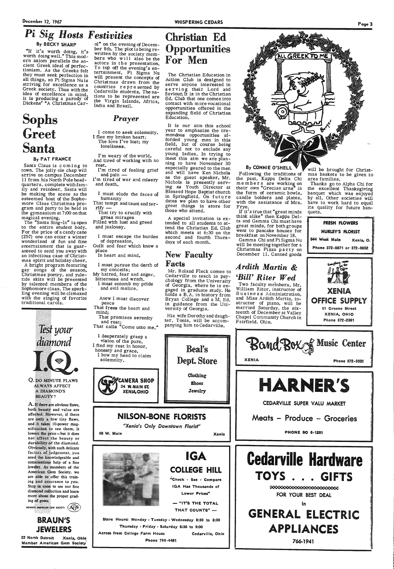# **Pi Sig Hosts Festivities** Christian Ed

# **Opportunities** For Men

the one are a formed that Electrical Education in<br>the concepts of Action Club is designed to<br>the oncepts a Action Club is designed to<br>the oncepts of Action Club is designed to<br>the concept serve anyone interested in<br>the co

By CONNIE O'SHELL

By BECKY SHARP

"If it's worth doing, it's worth doing well." This modern axiom parallels the an-<br>cient Greek ideal of perfectionism. As the Greeks felt they must seek perfection in all things, so Pi Sigma Nuis<br>striving for excellence as a Greek society. Thus with the idea of excellence in mind. it is producing a parody of Dickens' "A Christmas Car-

Sophs Greet Santa

### By PAT FRANCE

The "Santa Sing-In" is open<br>to the entire student body. For the price of a candy cane (25 $\acute{c}$ ) one can enter a winter wonderland of fun and fine entertainment that is guar- anteed to send you away with an infectious case of Christmas spirit and holiday cheer. A bright program featuring

Santa Claus is coming to town. The jolly ole chap will arrive on campus December 11 from his North Pole headquarters, complete with fam- ily and reindeer. Santa will be making the scene as the esteemed host of the Sophomore Class Christmas pro-<br>gram and party to be held in the gymnasium at  $7:00$  on that magical evening.

## **BRAUN'S** JEWELERS

22 North Detroit Xenia, Ohio Member American Gem Society

ber 8th. The plot is being re-<br>written by the society mem-<br>bers who w i 11 also be the actors in the presentation.<br>To top off the evening's entertainment, Pi Sigma Nu<br>will present the concepts of Christmas drawn from the countries represented by Cedarville students. The na-<br>tions to be represented are the Virgin Islands, Africa, India and Brazil.

That tempt and taunt and terrify -

gay songs of the season, tide skits will be presented<br>by talented members of the Sophomore class. The spark- ling evening will be climaxed with the singing of favorite traditional carols.



both beauty and value are affected. However, if there are only a few tiny flaws, and it takes 10-power mag-<br>nification to see them, it lowers the price—but it does not affect the beauty or That frees the heart and<br>mind;<br>That promises serenity That promises serenity and rest;

## *Prayer*

<sup>I</sup>come to seek solemnity. I flee my broken heart; The love I've lost; my loneliness.

I'm weary of the world, And tired of working with no rest.

I'm tired of feeling grief and pain -

I'm tired of war and misery and death.

Following the traditions of the past, Kappa Delta Chi members are working on their own "Grecian urns"' in the form of ceramic bowls, candle holders and plates, with the assistance of Mrs.

Frye.<br>If it's true that "great minds think alike" then Kappa Delta and Gamma Chi must have great minds, for both groups went to pancake houses for

breakfast on November 18.<br>Gamma Chi and Pi Sigma Nu will be meeting together for a<br>Christmas Pizza party on<br>December 11. Canned goods

I must elude the faces of humanity

That try to crucify with gross mirages

Filled with lust and greed and jealousy.

I must escape the burden of depression,

Guilt and fear which know a place

In heart and mind.

I must pursue the death of my conceits;

My hatred, fear and anger, bitterness and wrath.

Two faculty members, Mr. William Riter, instructor of<br>Business Administration, and Miss Ardith Martin, instructor of piano, will be married Saturday, the six teenth of December at Valley Chapel Community Church in Fairfield, Ohio.

<sup>I</sup>must entomb my pride and evil malice.

will be brought for Christmas baskets to be given :to area families.

Anew I must discover peace

That calls "Come unto me."

I desperately grasp a<br>vision of the pure. I find my rest in honor, honesty and grace. I bow my head to claim solemnity.

> CAMERA SHOP 34 WMAIN ST.

**NILSON-BONE FLORISTS** 



## *Ardith Martin* & *'Bill' Riter Wed*

durability of the diamond. Obviously, with such delicate factors of judgement, you<br>need the knowledgeable and<br>conscientious help of a fine<br>jeweler. As members of the<br>American Gem Society, we are able to offer this training and assurance to you.<br>Stop in soon to see our fine<br>diamond collection and learn<br>more about the proper grad-<br>ing of gems.<br>MEMBER AMERICAN GEM SOCIETY (AFS)



Thanks go to Alpha Chi for the excellent Thanksgiving banquet which was enjoyed by all. Other societies will its quality for future banquets.







766-1941

:\_

! '. I